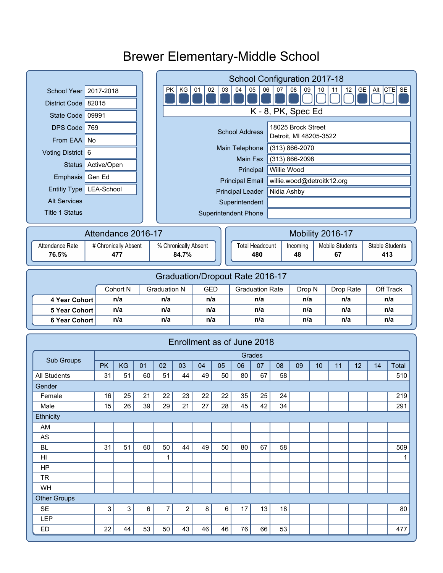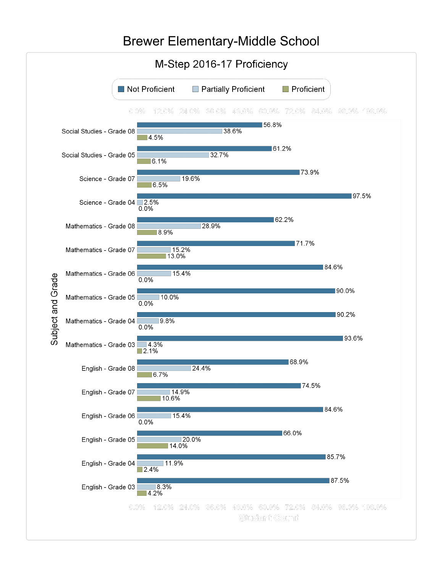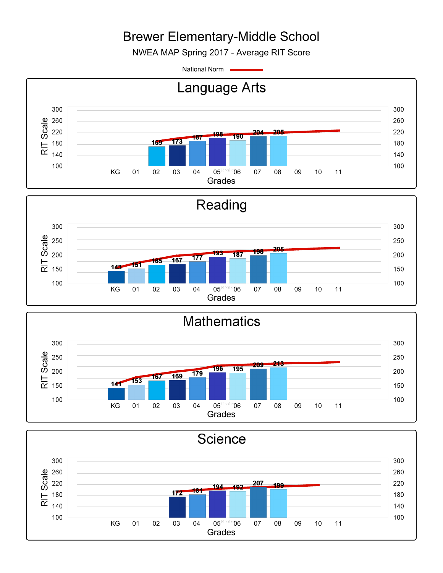NWEA MAP Spring 2017 - Average RIT Score

National Norm